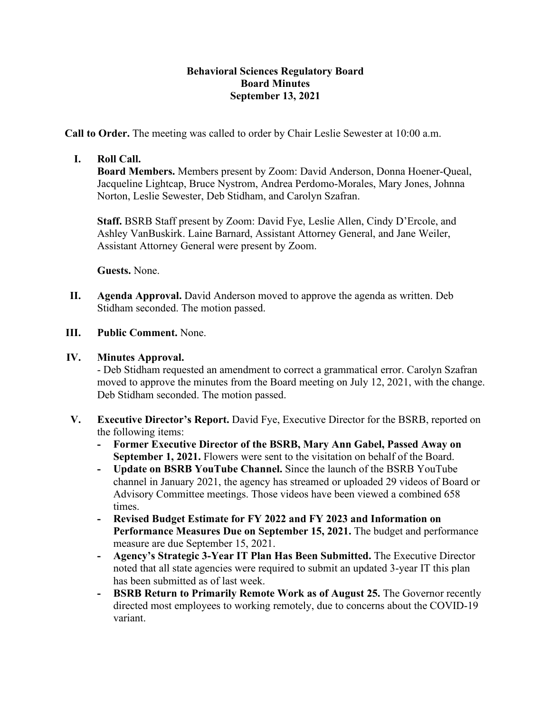## **Behavioral Sciences Regulatory Board Board Minutes September 13, 2021**

**Call to Order.** The meeting was called to order by Chair Leslie Sewester at 10:00 a.m.

## **I. Roll Call.**

**Board Members.** Members present by Zoom: David Anderson, Donna Hoener-Queal, Jacqueline Lightcap, Bruce Nystrom, Andrea Perdomo-Morales, Mary Jones, Johnna Norton, Leslie Sewester, Deb Stidham, and Carolyn Szafran.

**Staff.** BSRB Staff present by Zoom: David Fye, Leslie Allen, Cindy D'Ercole, and Ashley VanBuskirk. Laine Barnard, Assistant Attorney General, and Jane Weiler, Assistant Attorney General were present by Zoom.

**Guests.** None.

- **II. Agenda Approval.** David Anderson moved to approve the agenda as written. Deb Stidham seconded. The motion passed.
- **III. Public Comment.** None.

#### **IV. Minutes Approval.**

- Deb Stidham requested an amendment to correct a grammatical error. Carolyn Szafran moved to approve the minutes from the Board meeting on July 12, 2021, with the change. Deb Stidham seconded. The motion passed.

- **V. Executive Director's Report.** David Fye, Executive Director for the BSRB, reported on the following items:
	- **- Former Executive Director of the BSRB, Mary Ann Gabel, Passed Away on September 1, 2021.** Flowers were sent to the visitation on behalf of the Board.
	- **- Update on BSRB YouTube Channel.** Since the launch of the BSRB YouTube channel in January 2021, the agency has streamed or uploaded 29 videos of Board or Advisory Committee meetings. Those videos have been viewed a combined 658 times.
	- **- Revised Budget Estimate for FY 2022 and FY 2023 and Information on Performance Measures Due on September 15, 2021.** The budget and performance measure are due September 15, 2021.
	- **- Agency's Strategic 3-Year IT Plan Has Been Submitted.** The Executive Director noted that all state agencies were required to submit an updated 3-year IT this plan has been submitted as of last week.
	- **- BSRB Return to Primarily Remote Work as of August 25.** The Governor recently directed most employees to working remotely, due to concerns about the COVID-19 variant.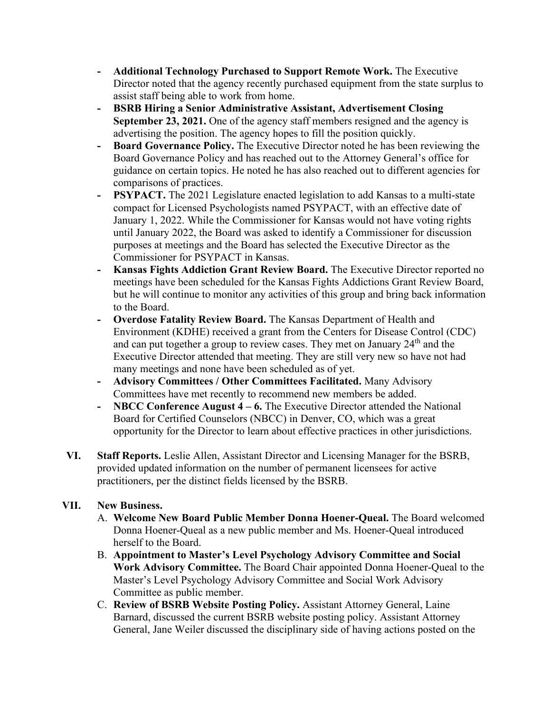- **- Additional Technology Purchased to Support Remote Work.** The Executive Director noted that the agency recently purchased equipment from the state surplus to assist staff being able to work from home.
- **- BSRB Hiring a Senior Administrative Assistant, Advertisement Closing September 23, 2021.** One of the agency staff members resigned and the agency is advertising the position. The agency hopes to fill the position quickly.
- **- Board Governance Policy.** The Executive Director noted he has been reviewing the Board Governance Policy and has reached out to the Attorney General's office for guidance on certain topics. He noted he has also reached out to different agencies for comparisons of practices.
- **- PSYPACT.** The 2021 Legislature enacted legislation to add Kansas to a multi-state compact for Licensed Psychologists named PSYPACT, with an effective date of January 1, 2022. While the Commissioner for Kansas would not have voting rights until January 2022, the Board was asked to identify a Commissioner for discussion purposes at meetings and the Board has selected the Executive Director as the Commissioner for PSYPACT in Kansas.
- **- Kansas Fights Addiction Grant Review Board.** The Executive Director reported no meetings have been scheduled for the Kansas Fights Addictions Grant Review Board, but he will continue to monitor any activities of this group and bring back information to the Board.
- **- Overdose Fatality Review Board.** The Kansas Department of Health and Environment (KDHE) received a grant from the Centers for Disease Control (CDC) and can put together a group to review cases. They met on January 24<sup>th</sup> and the Executive Director attended that meeting. They are still very new so have not had many meetings and none have been scheduled as of yet.
- **- Advisory Committees / Other Committees Facilitated.** Many Advisory Committees have met recently to recommend new members be added.
- **- NBCC Conference August 4 – 6.** The Executive Director attended the National Board for Certified Counselors (NBCC) in Denver, CO, which was a great opportunity for the Director to learn about effective practices in other jurisdictions.
- **VI. Staff Reports.** Leslie Allen, Assistant Director and Licensing Manager for the BSRB, provided updated information on the number of permanent licensees for active practitioners, per the distinct fields licensed by the BSRB.

# **VII. New Business.**

- A. **Welcome New Board Public Member Donna Hoener-Queal.** The Board welcomed Donna Hoener-Queal as a new public member and Ms. Hoener-Queal introduced herself to the Board.
- B. **Appointment to Master's Level Psychology Advisory Committee and Social Work Advisory Committee.** The Board Chair appointed Donna Hoener-Queal to the Master's Level Psychology Advisory Committee and Social Work Advisory Committee as public member.
- C. **Review of BSRB Website Posting Policy.** Assistant Attorney General, Laine Barnard, discussed the current BSRB website posting policy. Assistant Attorney General, Jane Weiler discussed the disciplinary side of having actions posted on the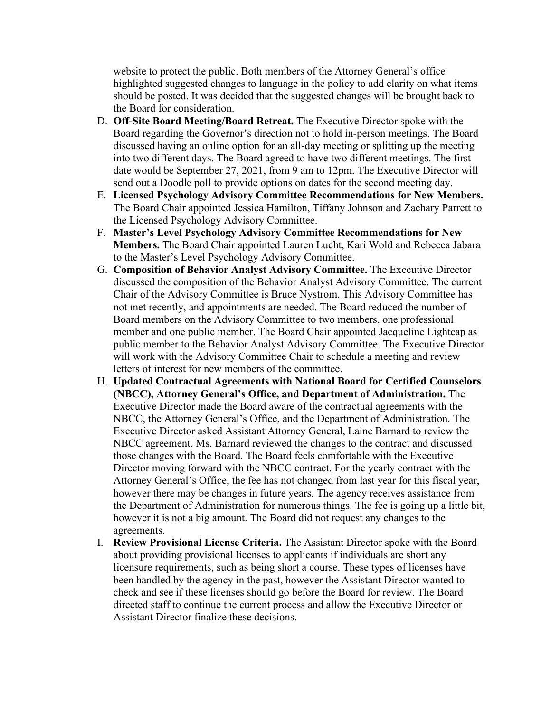website to protect the public. Both members of the Attorney General's office highlighted suggested changes to language in the policy to add clarity on what items should be posted. It was decided that the suggested changes will be brought back to the Board for consideration.

- D. **Off-Site Board Meeting/Board Retreat.** The Executive Director spoke with the Board regarding the Governor's direction not to hold in-person meetings. The Board discussed having an online option for an all-day meeting or splitting up the meeting into two different days. The Board agreed to have two different meetings. The first date would be September 27, 2021, from 9 am to 12pm. The Executive Director will send out a Doodle poll to provide options on dates for the second meeting day.
- E. **Licensed Psychology Advisory Committee Recommendations for New Members.** The Board Chair appointed Jessica Hamilton, Tiffany Johnson and Zachary Parrett to the Licensed Psychology Advisory Committee.
- F. **Master's Level Psychology Advisory Committee Recommendations for New Members.** The Board Chair appointed Lauren Lucht, Kari Wold and Rebecca Jabara to the Master's Level Psychology Advisory Committee.
- G. **Composition of Behavior Analyst Advisory Committee.** The Executive Director discussed the composition of the Behavior Analyst Advisory Committee. The current Chair of the Advisory Committee is Bruce Nystrom. This Advisory Committee has not met recently, and appointments are needed. The Board reduced the number of Board members on the Advisory Committee to two members, one professional member and one public member. The Board Chair appointed Jacqueline Lightcap as public member to the Behavior Analyst Advisory Committee. The Executive Director will work with the Advisory Committee Chair to schedule a meeting and review letters of interest for new members of the committee.
- H. **Updated Contractual Agreements with National Board for Certified Counselors (NBCC), Attorney General's Office, and Department of Administration.** The Executive Director made the Board aware of the contractual agreements with the NBCC, the Attorney General's Office, and the Department of Administration. The Executive Director asked Assistant Attorney General, Laine Barnard to review the NBCC agreement. Ms. Barnard reviewed the changes to the contract and discussed those changes with the Board. The Board feels comfortable with the Executive Director moving forward with the NBCC contract. For the yearly contract with the Attorney General's Office, the fee has not changed from last year for this fiscal year, however there may be changes in future years. The agency receives assistance from the Department of Administration for numerous things. The fee is going up a little bit, however it is not a big amount. The Board did not request any changes to the agreements.
- I. **Review Provisional License Criteria.** The Assistant Director spoke with the Board about providing provisional licenses to applicants if individuals are short any licensure requirements, such as being short a course. These types of licenses have been handled by the agency in the past, however the Assistant Director wanted to check and see if these licenses should go before the Board for review. The Board directed staff to continue the current process and allow the Executive Director or Assistant Director finalize these decisions.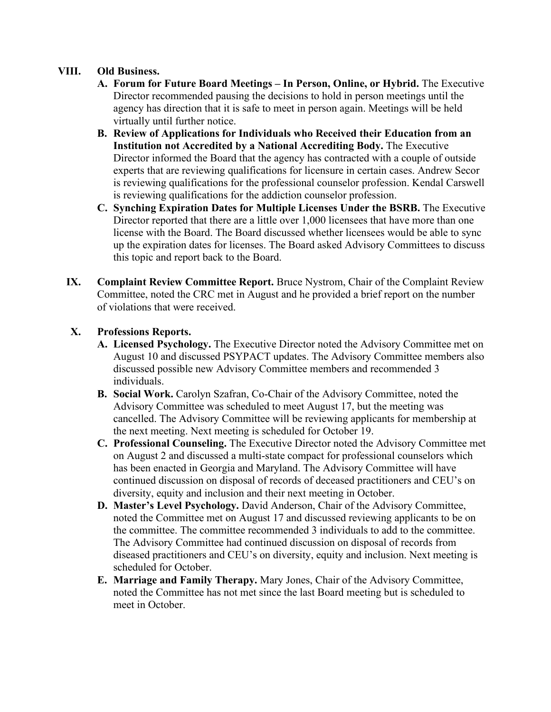## **VIII. Old Business.**

- **A. Forum for Future Board Meetings – In Person, Online, or Hybrid.** The Executive Director recommended pausing the decisions to hold in person meetings until the agency has direction that it is safe to meet in person again. Meetings will be held virtually until further notice.
- **B. Review of Applications for Individuals who Received their Education from an Institution not Accredited by a National Accrediting Body.** The Executive Director informed the Board that the agency has contracted with a couple of outside experts that are reviewing qualifications for licensure in certain cases. Andrew Secor is reviewing qualifications for the professional counselor profession. Kendal Carswell is reviewing qualifications for the addiction counselor profession.
- **C. Synching Expiration Dates for Multiple Licenses Under the BSRB.** The Executive Director reported that there are a little over 1,000 licensees that have more than one license with the Board. The Board discussed whether licensees would be able to sync up the expiration dates for licenses. The Board asked Advisory Committees to discuss this topic and report back to the Board.
- **IX. Complaint Review Committee Report.** Bruce Nystrom, Chair of the Complaint Review Committee, noted the CRC met in August and he provided a brief report on the number of violations that were received.

# **X. Professions Reports.**

- **A. Licensed Psychology.** The Executive Director noted the Advisory Committee met on August 10 and discussed PSYPACT updates. The Advisory Committee members also discussed possible new Advisory Committee members and recommended 3 individuals.
- **B. Social Work.** Carolyn Szafran, Co-Chair of the Advisory Committee, noted the Advisory Committee was scheduled to meet August 17, but the meeting was cancelled. The Advisory Committee will be reviewing applicants for membership at the next meeting. Next meeting is scheduled for October 19.
- **C. Professional Counseling.** The Executive Director noted the Advisory Committee met on August 2 and discussed a multi-state compact for professional counselors which has been enacted in Georgia and Maryland. The Advisory Committee will have continued discussion on disposal of records of deceased practitioners and CEU's on diversity, equity and inclusion and their next meeting in October.
- **D. Master's Level Psychology.** David Anderson, Chair of the Advisory Committee, noted the Committee met on August 17 and discussed reviewing applicants to be on the committee. The committee recommended 3 individuals to add to the committee. The Advisory Committee had continued discussion on disposal of records from diseased practitioners and CEU's on diversity, equity and inclusion. Next meeting is scheduled for October.
- **E. Marriage and Family Therapy.** Mary Jones, Chair of the Advisory Committee, noted the Committee has not met since the last Board meeting but is scheduled to meet in October.